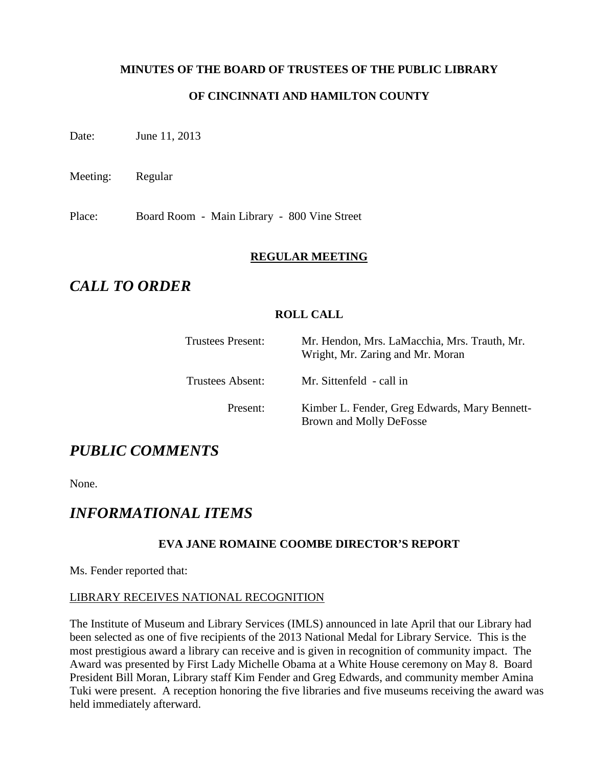# **MINUTES OF THE BOARD OF TRUSTEES OF THE PUBLIC LIBRARY**

# **OF CINCINNATI AND HAMILTON COUNTY**

Date: June 11, 2013

Meeting: Regular

Place: Board Room - Main Library - 800 Vine Street

#### **REGULAR MEETING**

# *CALL TO ORDER*

### **ROLL CALL**

| Trustees Present:       | Mr. Hendon, Mrs. LaMacchia, Mrs. Trauth, Mr.<br>Wright, Mr. Zaring and Mr. Moran |
|-------------------------|----------------------------------------------------------------------------------|
| <b>Trustees Absent:</b> | Mr. Sittenfeld - call in                                                         |
| Present:                | Kimber L. Fender, Greg Edwards, Mary Bennett-<br>Brown and Molly DeFosse         |

# *PUBLIC COMMENTS*

None.

# *INFORMATIONAL ITEMS*

# **EVA JANE ROMAINE COOMBE DIRECTOR'S REPORT**

Ms. Fender reported that:

#### LIBRARY RECEIVES NATIONAL RECOGNITION

The Institute of Museum and Library Services (IMLS) announced in late April that our Library had been selected as one of five recipients of the 2013 National Medal for Library Service. This is the most prestigious award a library can receive and is given in recognition of community impact. The Award was presented by First Lady Michelle Obama at a White House ceremony on May 8. Board President Bill Moran, Library staff Kim Fender and Greg Edwards, and community member Amina Tuki were present. A reception honoring the five libraries and five museums receiving the award was held immediately afterward.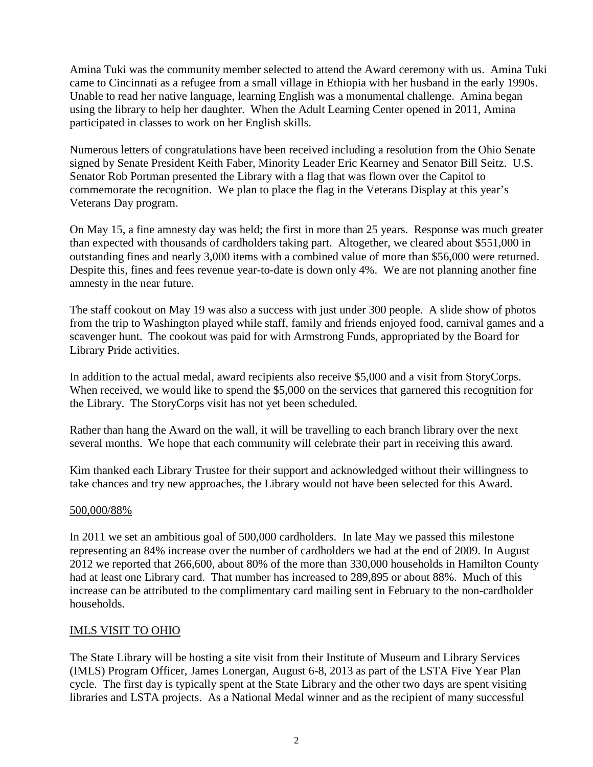Amina Tuki was the community member selected to attend the Award ceremony with us. Amina Tuki came to Cincinnati as a refugee from a small village in Ethiopia with her husband in the early 1990s. Unable to read her native language, learning English was a monumental challenge. Amina began using the library to help her daughter. When the Adult Learning Center opened in 2011, Amina participated in classes to work on her English skills.

Numerous letters of congratulations have been received including a resolution from the Ohio Senate signed by Senate President Keith Faber, Minority Leader Eric Kearney and Senator Bill Seitz. U.S. Senator Rob Portman presented the Library with a flag that was flown over the Capitol to commemorate the recognition. We plan to place the flag in the Veterans Display at this year's Veterans Day program.

On May 15, a fine amnesty day was held; the first in more than 25 years. Response was much greater than expected with thousands of cardholders taking part. Altogether, we cleared about \$551,000 in outstanding fines and nearly 3,000 items with a combined value of more than \$56,000 were returned. Despite this, fines and fees revenue year-to-date is down only 4%. We are not planning another fine amnesty in the near future.

The staff cookout on May 19 was also a success with just under 300 people. A slide show of photos from the trip to Washington played while staff, family and friends enjoyed food, carnival games and a scavenger hunt. The cookout was paid for with Armstrong Funds, appropriated by the Board for Library Pride activities.

In addition to the actual medal, award recipients also receive \$5,000 and a visit from StoryCorps. When received, we would like to spend the \$5,000 on the services that garnered this recognition for the Library. The StoryCorps visit has not yet been scheduled.

Rather than hang the Award on the wall, it will be travelling to each branch library over the next several months. We hope that each community will celebrate their part in receiving this award.

Kim thanked each Library Trustee for their support and acknowledged without their willingness to take chances and try new approaches, the Library would not have been selected for this Award.

#### 500,000/88%

In 2011 we set an ambitious goal of 500,000 cardholders. In late May we passed this milestone representing an 84% increase over the number of cardholders we had at the end of 2009. In August 2012 we reported that 266,600, about 80% of the more than 330,000 households in Hamilton County had at least one Library card. That number has increased to 289,895 or about 88%. Much of this increase can be attributed to the complimentary card mailing sent in February to the non-cardholder households.

#### IMLS VISIT TO OHIO

The State Library will be hosting a site visit from their Institute of Museum and Library Services (IMLS) Program Officer, James Lonergan, August 6-8, 2013 as part of the LSTA Five Year Plan cycle. The first day is typically spent at the State Library and the other two days are spent visiting libraries and LSTA projects. As a National Medal winner and as the recipient of many successful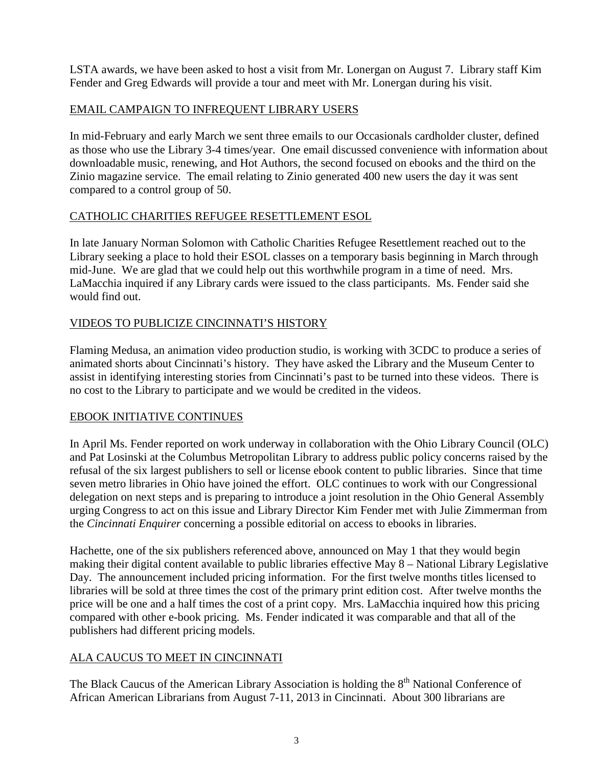LSTA awards, we have been asked to host a visit from Mr. Lonergan on August 7. Library staff Kim Fender and Greg Edwards will provide a tour and meet with Mr. Lonergan during his visit.

# EMAIL CAMPAIGN TO INFREQUENT LIBRARY USERS

In mid-February and early March we sent three emails to our Occasionals cardholder cluster, defined as those who use the Library 3-4 times/year. One email discussed convenience with information about downloadable music, renewing, and Hot Authors, the second focused on ebooks and the third on the Zinio magazine service. The email relating to Zinio generated 400 new users the day it was sent compared to a control group of 50.

# CATHOLIC CHARITIES REFUGEE RESETTLEMENT ESOL

In late January Norman Solomon with Catholic Charities Refugee Resettlement reached out to the Library seeking a place to hold their ESOL classes on a temporary basis beginning in March through mid-June. We are glad that we could help out this worthwhile program in a time of need. Mrs. LaMacchia inquired if any Library cards were issued to the class participants. Ms. Fender said she would find out.

# VIDEOS TO PUBLICIZE CINCINNATI'S HISTORY

Flaming Medusa, an animation video production studio, is working with 3CDC to produce a series of animated shorts about Cincinnati's history. They have asked the Library and the Museum Center to assist in identifying interesting stories from Cincinnati's past to be turned into these videos. There is no cost to the Library to participate and we would be credited in the videos.

# EBOOK INITIATIVE CONTINUES

In April Ms. Fender reported on work underway in collaboration with the Ohio Library Council (OLC) and Pat Losinski at the Columbus Metropolitan Library to address public policy concerns raised by the refusal of the six largest publishers to sell or license ebook content to public libraries. Since that time seven metro libraries in Ohio have joined the effort. OLC continues to work with our Congressional delegation on next steps and is preparing to introduce a joint resolution in the Ohio General Assembly urging Congress to act on this issue and Library Director Kim Fender met with Julie Zimmerman from the *Cincinnati Enquirer* concerning a possible editorial on access to ebooks in libraries.

Hachette, one of the six publishers referenced above, announced on May 1 that they would begin making their digital content available to public libraries effective May 8 – National Library Legislative Day. The announcement included pricing information. For the first twelve months titles licensed to libraries will be sold at three times the cost of the primary print edition cost. After twelve months the price will be one and a half times the cost of a print copy. Mrs. LaMacchia inquired how this pricing compared with other e-book pricing. Ms. Fender indicated it was comparable and that all of the publishers had different pricing models.

# ALA CAUCUS TO MEET IN CINCINNATI

The Black Caucus of the American Library Association is holding the 8<sup>th</sup> National Conference of African American Librarians from August 7-11, 2013 in Cincinnati. About 300 librarians are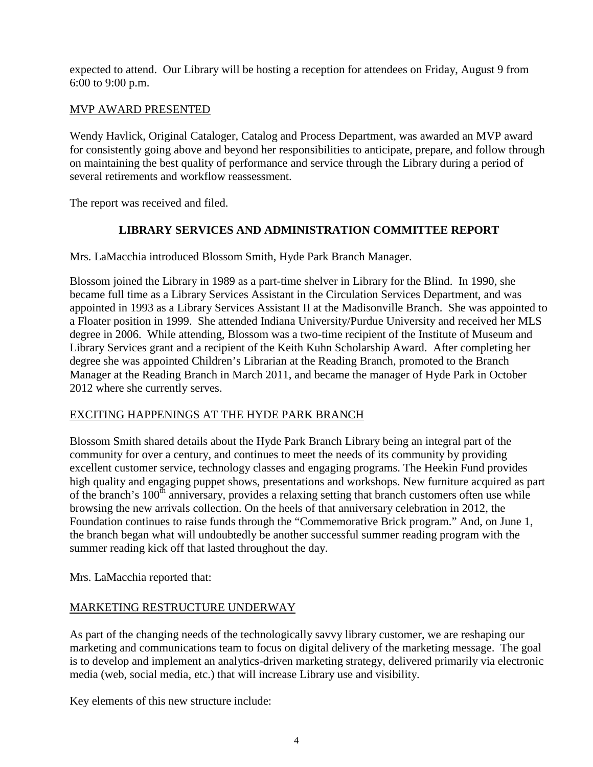expected to attend. Our Library will be hosting a reception for attendees on Friday, August 9 from 6:00 to 9:00 p.m.

# MVP AWARD PRESENTED

Wendy Havlick, Original Cataloger, Catalog and Process Department, was awarded an MVP award for consistently going above and beyond her responsibilities to anticipate, prepare, and follow through on maintaining the best quality of performance and service through the Library during a period of several retirements and workflow reassessment.

The report was received and filed.

# **LIBRARY SERVICES AND ADMINISTRATION COMMITTEE REPORT**

Mrs. LaMacchia introduced Blossom Smith, Hyde Park Branch Manager.

Blossom joined the Library in 1989 as a part-time shelver in Library for the Blind. In 1990, she became full time as a Library Services Assistant in the Circulation Services Department, and was appointed in 1993 as a Library Services Assistant II at the Madisonville Branch. She was appointed to a Floater position in 1999. She attended Indiana University/Purdue University and received her MLS degree in 2006. While attending, Blossom was a two-time recipient of the Institute of Museum and Library Services grant and a recipient of the Keith Kuhn Scholarship Award. After completing her degree she was appointed Children's Librarian at the Reading Branch, promoted to the Branch Manager at the Reading Branch in March 2011, and became the manager of Hyde Park in October 2012 where she currently serves.

# EXCITING HAPPENINGS AT THE HYDE PARK BRANCH

Blossom Smith shared details about the Hyde Park Branch Library being an integral part of the community for over a century, and continues to meet the needs of its community by providing excellent customer service, technology classes and engaging programs. The Heekin Fund provides high quality and engaging puppet shows, presentations and workshops. New furniture acquired as part of the branch's  $100<sup>th</sup>$  anniversary, provides a relaxing setting that branch customers often use while browsing the new arrivals collection. On the heels of that anniversary celebration in 2012, the Foundation continues to raise funds through the "Commemorative Brick program." And, on June 1, the branch began what will undoubtedly be another successful summer reading program with the summer reading kick off that lasted throughout the day.

Mrs. LaMacchia reported that:

# MARKETING RESTRUCTURE UNDERWAY

As part of the changing needs of the technologically savvy library customer, we are reshaping our marketing and communications team to focus on digital delivery of the marketing message. The goal is to develop and implement an analytics-driven marketing strategy, delivered primarily via electronic media (web, social media, etc.) that will increase Library use and visibility.

Key elements of this new structure include: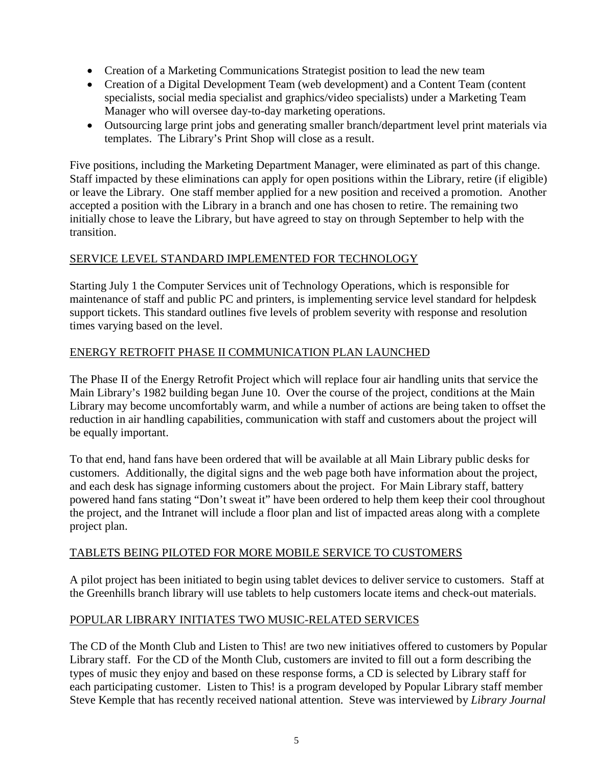- Creation of a Marketing Communications Strategist position to lead the new team
- Creation of a Digital Development Team (web development) and a Content Team (content specialists, social media specialist and graphics/video specialists) under a Marketing Team Manager who will oversee day-to-day marketing operations.
- Outsourcing large print jobs and generating smaller branch/department level print materials via templates. The Library's Print Shop will close as a result.

Five positions, including the Marketing Department Manager, were eliminated as part of this change. Staff impacted by these eliminations can apply for open positions within the Library, retire (if eligible) or leave the Library. One staff member applied for a new position and received a promotion. Another accepted a position with the Library in a branch and one has chosen to retire. The remaining two initially chose to leave the Library, but have agreed to stay on through September to help with the transition.

# SERVICE LEVEL STANDARD IMPLEMENTED FOR TECHNOLOGY

Starting July 1 the Computer Services unit of Technology Operations, which is responsible for maintenance of staff and public PC and printers, is implementing service level standard for helpdesk support tickets. This standard outlines five levels of problem severity with response and resolution times varying based on the level.

### ENERGY RETROFIT PHASE II COMMUNICATION PLAN LAUNCHED

The Phase II of the Energy Retrofit Project which will replace four air handling units that service the Main Library's 1982 building began June 10. Over the course of the project, conditions at the Main Library may become uncomfortably warm, and while a number of actions are being taken to offset the reduction in air handling capabilities, communication with staff and customers about the project will be equally important.

To that end, hand fans have been ordered that will be available at all Main Library public desks for customers. Additionally, the digital signs and the web page both have information about the project, and each desk has signage informing customers about the project. For Main Library staff, battery powered hand fans stating "Don't sweat it" have been ordered to help them keep their cool throughout the project, and the Intranet will include a floor plan and list of impacted areas along with a complete project plan.

#### TABLETS BEING PILOTED FOR MORE MOBILE SERVICE TO CUSTOMERS

A pilot project has been initiated to begin using tablet devices to deliver service to customers. Staff at the Greenhills branch library will use tablets to help customers locate items and check-out materials.

#### POPULAR LIBRARY INITIATES TWO MUSIC-RELATED SERVICES

The CD of the Month Club and Listen to This! are two new initiatives offered to customers by Popular Library staff. For the CD of the Month Club, customers are invited to fill out a form describing the types of music they enjoy and based on these response forms, a CD is selected by Library staff for each participating customer. Listen to This! is a program developed by Popular Library staff member Steve Kemple that has recently received national attention. Steve was interviewed by *Library Journal*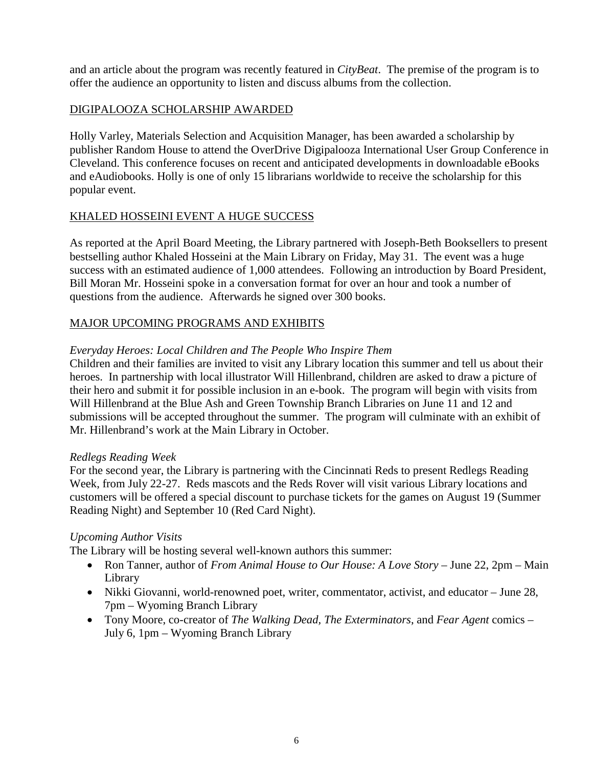and an article about the program was recently featured in *CityBeat*. The premise of the program is to offer the audience an opportunity to listen and discuss albums from the collection.

# DIGIPALOOZA SCHOLARSHIP AWARDED

Holly Varley, Materials Selection and Acquisition Manager, has been awarded a scholarship by publisher Random House to attend the OverDrive Digipalooza International User Group Conference in Cleveland. This conference focuses on recent and anticipated developments in downloadable eBooks and eAudiobooks. Holly is one of only 15 librarians worldwide to receive the scholarship for this popular event.

# KHALED HOSSEINI EVENT A HUGE SUCCESS

As reported at the April Board Meeting, the Library partnered with Joseph-Beth Booksellers to present bestselling author Khaled Hosseini at the Main Library on Friday, May 31. The event was a huge success with an estimated audience of 1,000 attendees. Following an introduction by Board President, Bill Moran Mr. Hosseini spoke in a conversation format for over an hour and took a number of questions from the audience. Afterwards he signed over 300 books.

# MAJOR UPCOMING PROGRAMS AND EXHIBITS

# *Everyday Heroes: Local Children and The People Who Inspire Them*

Children and their families are invited to visit any Library location this summer and tell us about their heroes. In partnership with local illustrator Will Hillenbrand, children are asked to draw a picture of their hero and submit it for possible inclusion in an e-book. The program will begin with visits from Will Hillenbrand at the Blue Ash and Green Township Branch Libraries on June 11 and 12 and submissions will be accepted throughout the summer. The program will culminate with an exhibit of Mr. Hillenbrand's work at the Main Library in October.

#### *Redlegs Reading Week*

For the second year, the Library is partnering with the Cincinnati Reds to present Redlegs Reading Week, from July 22-27. Reds mascots and the Reds Rover will visit various Library locations and customers will be offered a special discount to purchase tickets for the games on August 19 (Summer Reading Night) and September 10 (Red Card Night).

# *Upcoming Author Visits*

The Library will be hosting several well-known authors this summer:

- Ron Tanner, author of *From Animal House to Our House: A Love Story* June 22, 2pm Main Library
- Nikki Giovanni, world-renowned poet, writer, commentator, activist, and educator June 28, 7pm – Wyoming Branch Library
- Tony Moore, co-creator of *The Walking Dead, The Exterminators*, and *Fear Agent* comics July 6, 1pm – Wyoming Branch Library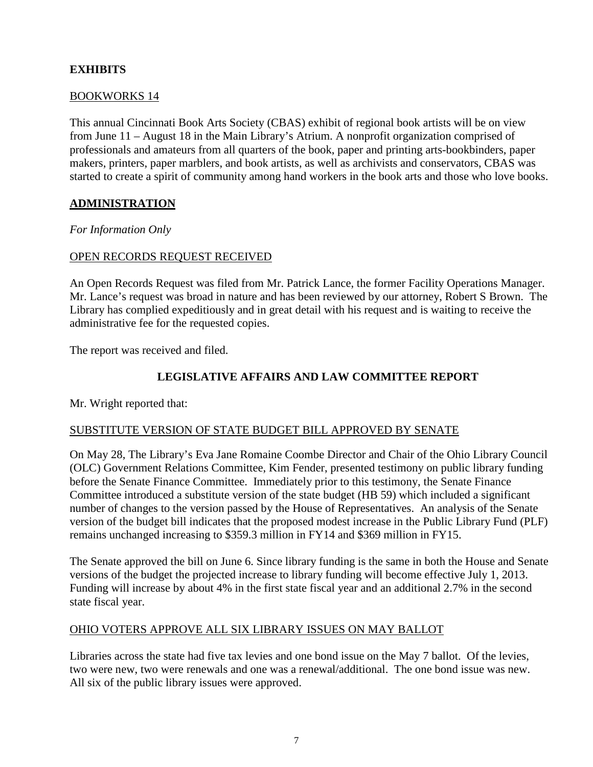# **EXHIBITS**

### BOOKWORKS 14

This annual Cincinnati Book Arts Society (CBAS) exhibit of regional book artists will be on view from June 11 – August 18 in the Main Library's Atrium. A nonprofit organization comprised of professionals and amateurs from all quarters of the book, paper and printing arts-bookbinders, paper makers, printers, paper marblers, and book artists, as well as archivists and conservators, CBAS was started to create a spirit of community among hand workers in the book arts and those who love books.

### **ADMINISTRATION**

*For Information Only*

#### OPEN RECORDS REQUEST RECEIVED

An Open Records Request was filed from Mr. Patrick Lance, the former Facility Operations Manager. Mr. Lance's request was broad in nature and has been reviewed by our attorney, Robert S Brown. The Library has complied expeditiously and in great detail with his request and is waiting to receive the administrative fee for the requested copies.

The report was received and filed.

### **LEGISLATIVE AFFAIRS AND LAW COMMITTEE REPORT**

Mr. Wright reported that:

#### SUBSTITUTE VERSION OF STATE BUDGET BILL APPROVED BY SENATE

On May 28, The Library's Eva Jane Romaine Coombe Director and Chair of the Ohio Library Council (OLC) Government Relations Committee, Kim Fender, presented testimony on public library funding before the Senate Finance Committee. Immediately prior to this testimony, the Senate Finance Committee introduced a substitute version of the state budget (HB 59) which included a significant number of changes to the version passed by the House of Representatives. An analysis of the Senate version of the budget bill indicates that the proposed modest increase in the Public Library Fund (PLF) remains unchanged increasing to \$359.3 million in FY14 and \$369 million in FY15.

The Senate approved the bill on June 6. Since library funding is the same in both the House and Senate versions of the budget the projected increase to library funding will become effective July 1, 2013. Funding will increase by about 4% in the first state fiscal year and an additional 2.7% in the second state fiscal year.

#### OHIO VOTERS APPROVE ALL SIX LIBRARY ISSUES ON MAY BALLOT

Libraries across the state had five tax levies and one bond issue on the May 7 ballot. Of the levies, two were new, two were renewals and one was a renewal/additional. The one bond issue was new. All six of the public library issues were approved.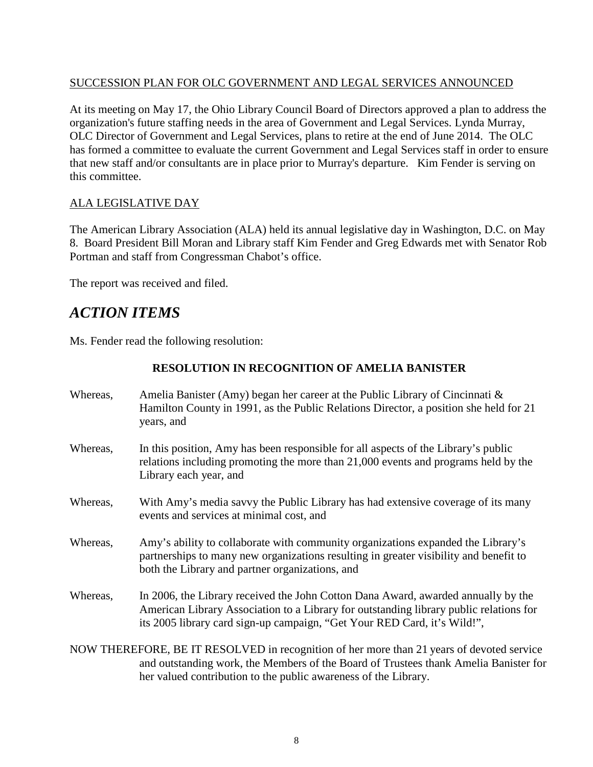# SUCCESSION PLAN FOR OLC GOVERNMENT AND LEGAL SERVICES ANNOUNCED

At its meeting on May 17, the Ohio Library Council Board of Directors approved a plan to address the organization's future staffing needs in the area of Government and Legal Services. Lynda Murray, OLC Director of Government and Legal Services, plans to retire at the end of June 2014. The OLC has formed a committee to evaluate the current Government and Legal Services staff in order to ensure that new staff and/or consultants are in place prior to Murray's departure. Kim Fender is serving on this committee.

# ALA LEGISLATIVE DAY

The American Library Association (ALA) held its annual legislative day in Washington, D.C. on May 8. Board President Bill Moran and Library staff Kim Fender and Greg Edwards met with Senator Rob Portman and staff from Congressman Chabot's office.

The report was received and filed.

# *ACTION ITEMS*

Ms. Fender read the following resolution:

# **RESOLUTION IN RECOGNITION OF AMELIA BANISTER**

Whereas, Amelia Banister (Amy) began her career at the Public Library of Cincinnati & Hamilton County in 1991, as the Public Relations Director, a position she held for 21 years, and Whereas, In this position, Amy has been responsible for all aspects of the Library's public relations including promoting the more than 21,000 events and programs held by the Library each year, and Whereas, With Amy's media savvy the Public Library has had extensive coverage of its many events and services at minimal cost, and Whereas, Amy's ability to collaborate with community organizations expanded the Library's partnerships to many new organizations resulting in greater visibility and benefit to both the Library and partner organizations, and Whereas, In 2006, the Library received the John Cotton Dana Award, awarded annually by the American Library Association to a Library for outstanding library public relations for its 2005 library card sign-up campaign, "Get Your RED Card, it's Wild!", NOW THEREFORE, BE IT RESOLVED in recognition of her more than 21 years of devoted service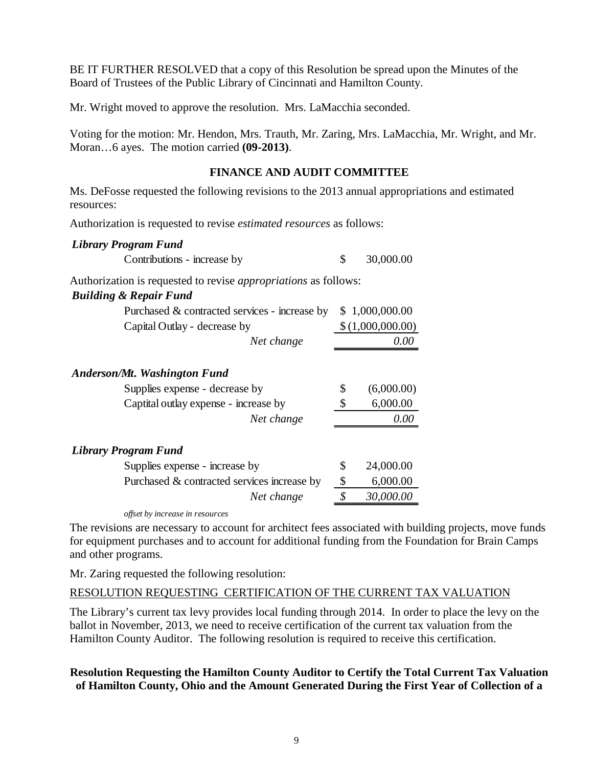BE IT FURTHER RESOLVED that a copy of this Resolution be spread upon the Minutes of the Board of Trustees of the Public Library of Cincinnati and Hamilton County.

Mr. Wright moved to approve the resolution. Mrs. LaMacchia seconded.

Voting for the motion: Mr. Hendon, Mrs. Trauth, Mr. Zaring, Mrs. LaMacchia, Mr. Wright, and Mr. Moran…6 ayes. The motion carried **(09-2013)**.

### **FINANCE AND AUDIT COMMITTEE**

Ms. DeFosse requested the following revisions to the 2013 annual appropriations and estimated resources:

Authorization is requested to revise *estimated resources* as follows:

#### *Library Program Fund*

| Contributions - increase by |  |  | 30,000.00 |  |
|-----------------------------|--|--|-----------|--|
|-----------------------------|--|--|-----------|--|

Authorization is requested to revise *appropriations* as follows:

#### *Building & Repair Fund*

| Purchased & contracted services - increase by | \$1,000,000.00   |
|-----------------------------------------------|------------------|
| Capital Outlay - decrease by                  | \$(1,000,000.00) |
| Net change                                    | 0.00             |
| Anderson/Mt. Washington Fund                  |                  |
| Supplies expense - decrease by                | \$<br>(6,000.00) |
| Captital outlay expense - increase by         | \$<br>6,000.00   |
| Net change                                    | 0.00             |
| Library Program Fund                          |                  |
| Supplies expense - increase by                | \$<br>24,000.00  |
| Purchased & contracted services increase by   | \$<br>6,000.00   |
| Net change                                    | \$<br>30,000.00  |
|                                               |                  |

*offset by increase in resources*

The revisions are necessary to account for architect fees associated with building projects, move funds for equipment purchases and to account for additional funding from the Foundation for Brain Camps and other programs.

Mr. Zaring requested the following resolution:

#### RESOLUTION REQUESTING CERTIFICATION OF THE CURRENT TAX VALUATION

The Library's current tax levy provides local funding through 2014. In order to place the levy on the ballot in November, 2013, we need to receive certification of the current tax valuation from the Hamilton County Auditor. The following resolution is required to receive this certification.

### **Resolution Requesting the Hamilton County Auditor to Certify the Total Current Tax Valuation of Hamilton County, Ohio and the Amount Generated During the First Year of Collection of a**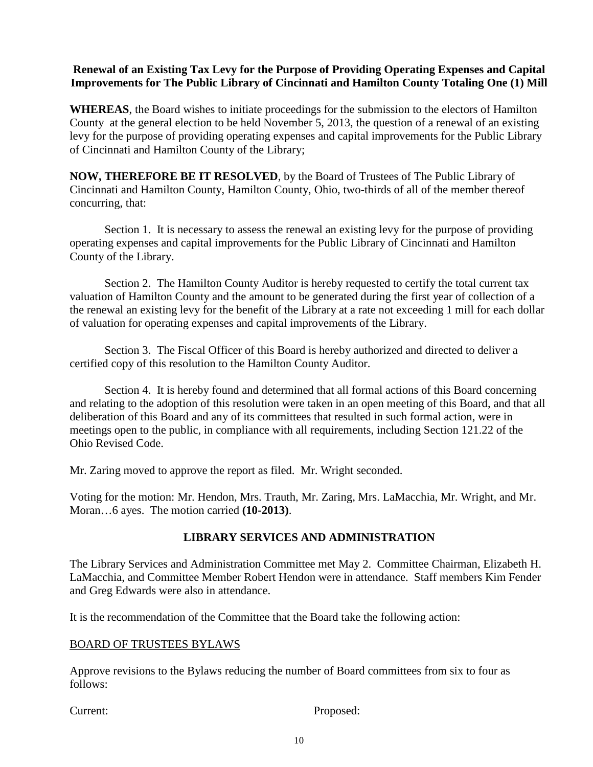# **Renewal of an Existing Tax Levy for the Purpose of Providing Operating Expenses and Capital Improvements for The Public Library of Cincinnati and Hamilton County Totaling One (1) Mill**

**WHEREAS**, the Board wishes to initiate proceedings for the submission to the electors of Hamilton County at the general election to be held November 5, 2013, the question of a renewal of an existing levy for the purpose of providing operating expenses and capital improvements for the Public Library of Cincinnati and Hamilton County of the Library;

**NOW, THEREFORE BE IT RESOLVED**, by the Board of Trustees of The Public Library of Cincinnati and Hamilton County, Hamilton County, Ohio, two-thirds of all of the member thereof concurring, that:

Section 1. It is necessary to assess the renewal an existing levy for the purpose of providing operating expenses and capital improvements for the Public Library of Cincinnati and Hamilton County of the Library.

Section 2. The Hamilton County Auditor is hereby requested to certify the total current tax valuation of Hamilton County and the amount to be generated during the first year of collection of a the renewal an existing levy for the benefit of the Library at a rate not exceeding 1 mill for each dollar of valuation for operating expenses and capital improvements of the Library.

Section 3. The Fiscal Officer of this Board is hereby authorized and directed to deliver a certified copy of this resolution to the Hamilton County Auditor.

Section 4. It is hereby found and determined that all formal actions of this Board concerning and relating to the adoption of this resolution were taken in an open meeting of this Board, and that all deliberation of this Board and any of its committees that resulted in such formal action, were in meetings open to the public, in compliance with all requirements, including Section 121.22 of the Ohio Revised Code.

Mr. Zaring moved to approve the report as filed. Mr. Wright seconded.

Voting for the motion: Mr. Hendon, Mrs. Trauth, Mr. Zaring, Mrs. LaMacchia, Mr. Wright, and Mr. Moran…6 ayes. The motion carried **(10-2013)**.

# **LIBRARY SERVICES AND ADMINISTRATION**

The Library Services and Administration Committee met May 2. Committee Chairman, Elizabeth H. LaMacchia, and Committee Member Robert Hendon were in attendance. Staff members Kim Fender and Greg Edwards were also in attendance.

It is the recommendation of the Committee that the Board take the following action:

# BOARD OF TRUSTEES BYLAWS

Approve revisions to the Bylaws reducing the number of Board committees from six to four as follows:

Current: Proposed: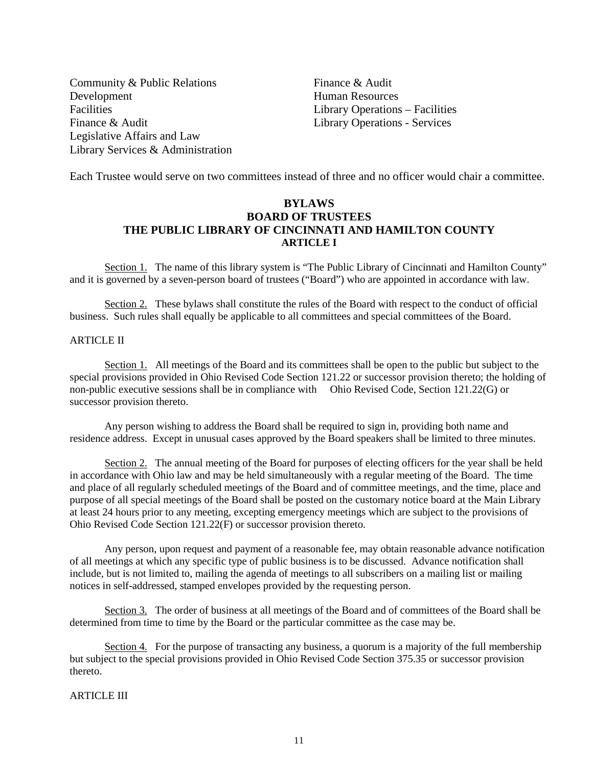Community & Public Relations Finance & Audit Development Human Resources Facilities **Library Operations – Facilities** Finance & Audit Library Operations - Services Legislative Affairs and Law Library Services & Administration

Each Trustee would serve on two committees instead of three and no officer would chair a committee.

### **BYLAWS BOARD OF TRUSTEES THE PUBLIC LIBRARY OF CINCINNATI AND HAMILTON COUNTY ARTICLE I**

Section 1. The name of this library system is "The Public Library of Cincinnati and Hamilton County" and it is governed by a seven-person board of trustees ("Board") who are appointed in accordance with law.

Section 2. These bylaws shall constitute the rules of the Board with respect to the conduct of official business. Such rules shall equally be applicable to all committees and special committees of the Board.

#### ARTICLE II

Section 1. All meetings of the Board and its committees shall be open to the public but subject to the special provisions provided in Ohio Revised Code Section 121.22 or successor provision thereto; the holding of non-public executive sessions shall be in compliance with Ohio Revised Code, Section 121.22(G) or successor provision thereto.

Any person wishing to address the Board shall be required to sign in, providing both name and residence address. Except in unusual cases approved by the Board speakers shall be limited to three minutes.

Section 2. The annual meeting of the Board for purposes of electing officers for the year shall be held in accordance with Ohio law and may be held simultaneously with a regular meeting of the Board. The time and place of all regularly scheduled meetings of the Board and of committee meetings, and the time, place and purpose of all special meetings of the Board shall be posted on the customary notice board at the Main Library at least 24 hours prior to any meeting, excepting emergency meetings which are subject to the provisions of Ohio Revised Code Section 121.22(F) or successor provision thereto.

Any person, upon request and payment of a reasonable fee, may obtain reasonable advance notification of all meetings at which any specific type of public business is to be discussed. Advance notification shall include, but is not limited to, mailing the agenda of meetings to all subscribers on a mailing list or mailing notices in self-addressed, stamped envelopes provided by the requesting person.

Section 3. The order of business at all meetings of the Board and of committees of the Board shall be determined from time to time by the Board or the particular committee as the case may be.

Section 4. For the purpose of transacting any business, a quorum is a majority of the full membership but subject to the special provisions provided in Ohio Revised Code Section 375.35 or successor provision thereto.

#### ARTICLE III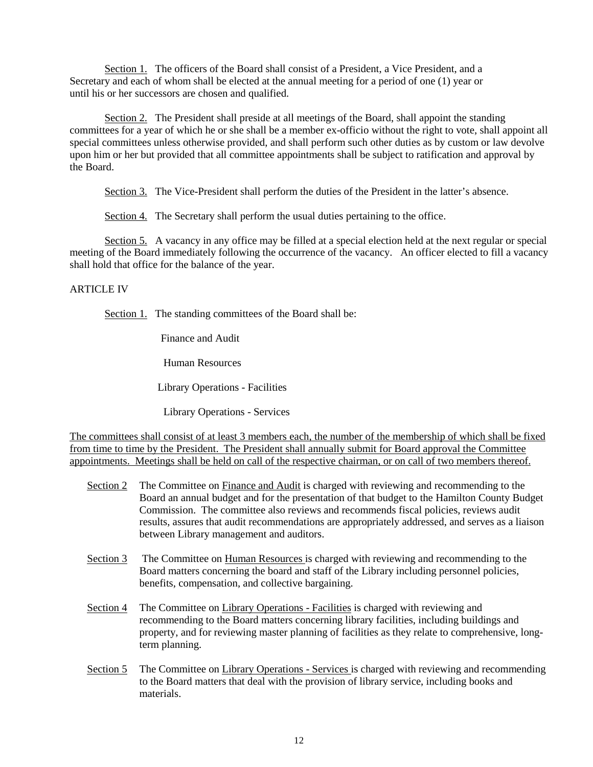Section 1. The officers of the Board shall consist of a President, a Vice President, and a Secretary and each of whom shall be elected at the annual meeting for a period of one (1) year or until his or her successors are chosen and qualified.

Section 2. The President shall preside at all meetings of the Board, shall appoint the standing committees for a year of which he or she shall be a member ex-officio without the right to vote, shall appoint all special committees unless otherwise provided, and shall perform such other duties as by custom or law devolve upon him or her but provided that all committee appointments shall be subject to ratification and approval by the Board.

Section 3. The Vice-President shall perform the duties of the President in the latter's absence.

Section 4. The Secretary shall perform the usual duties pertaining to the office.

Section 5. A vacancy in any office may be filled at a special election held at the next regular or special meeting of the Board immediately following the occurrence of the vacancy. An officer elected to fill a vacancy shall hold that office for the balance of the year.

#### ARTICLE IV

Section 1. The standing committees of the Board shall be:

Finance and Audit

Human Resources

Library Operations - Facilities

Library Operations - Services

The committees shall consist of at least 3 members each, the number of the membership of which shall be fixed from time to time by the President. The President shall annually submit for Board approval the Committee appointments. Meetings shall be held on call of the respective chairman, or on call of two members thereof.

- Section 2 The Committee on Finance and Audit is charged with reviewing and recommending to the Board an annual budget and for the presentation of that budget to the Hamilton County Budget Commission. The committee also reviews and recommends fiscal policies, reviews audit results, assures that audit recommendations are appropriately addressed, and serves as a liaison between Library management and auditors.
- Section 3 The Committee on Human Resources is charged with reviewing and recommending to the Board matters concerning the board and staff of the Library including personnel policies, benefits, compensation, and collective bargaining.
- Section 4 The Committee on Library Operations Facilities is charged with reviewing and recommending to the Board matters concerning library facilities, including buildings and property, and for reviewing master planning of facilities as they relate to comprehensive, longterm planning.
- Section 5 The Committee on Library Operations Services is charged with reviewing and recommending to the Board matters that deal with the provision of library service, including books and materials.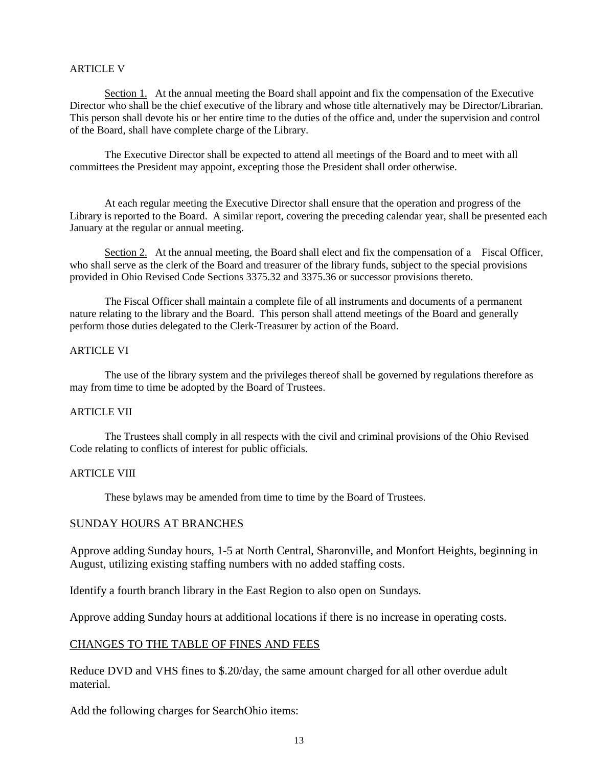#### ARTICLE V

Section 1. At the annual meeting the Board shall appoint and fix the compensation of the Executive Director who shall be the chief executive of the library and whose title alternatively may be Director/Librarian. This person shall devote his or her entire time to the duties of the office and, under the supervision and control of the Board, shall have complete charge of the Library.

The Executive Director shall be expected to attend all meetings of the Board and to meet with all committees the President may appoint, excepting those the President shall order otherwise.

At each regular meeting the Executive Director shall ensure that the operation and progress of the Library is reported to the Board. A similar report, covering the preceding calendar year, shall be presented each January at the regular or annual meeting.

Section 2. At the annual meeting, the Board shall elect and fix the compensation of a Fiscal Officer, who shall serve as the clerk of the Board and treasurer of the library funds, subject to the special provisions provided in Ohio Revised Code Sections 3375.32 and 3375.36 or successor provisions thereto.

The Fiscal Officer shall maintain a complete file of all instruments and documents of a permanent nature relating to the library and the Board. This person shall attend meetings of the Board and generally perform those duties delegated to the Clerk-Treasurer by action of the Board.

#### ARTICLE VI

The use of the library system and the privileges thereof shall be governed by regulations therefore as may from time to time be adopted by the Board of Trustees.

#### ARTICLE VII

The Trustees shall comply in all respects with the civil and criminal provisions of the Ohio Revised Code relating to conflicts of interest for public officials.

#### ARTICLE VIII

These bylaws may be amended from time to time by the Board of Trustees.

#### SUNDAY HOURS AT BRANCHES

Approve adding Sunday hours, 1-5 at North Central, Sharonville, and Monfort Heights, beginning in August, utilizing existing staffing numbers with no added staffing costs.

Identify a fourth branch library in the East Region to also open on Sundays.

Approve adding Sunday hours at additional locations if there is no increase in operating costs.

#### CHANGES TO THE TABLE OF FINES AND FEES

Reduce DVD and VHS fines to \$.20/day, the same amount charged for all other overdue adult material.

Add the following charges for SearchOhio items: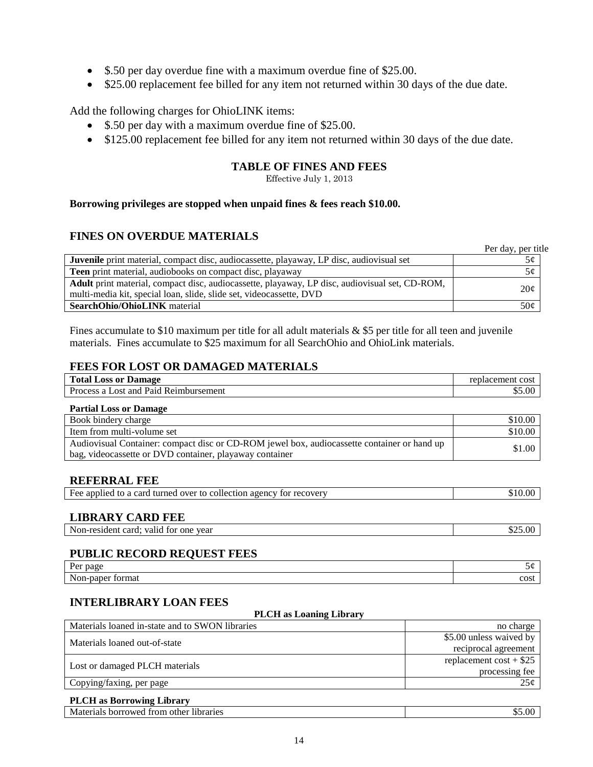- \$.50 per day overdue fine with a maximum overdue fine of \$25.00.
- \$25.00 replacement fee billed for any item not returned within 30 days of the due date.

Add the following charges for OhioLINK items:

- \$.50 per day with a maximum overdue fine of \$25.00.
- \$125.00 replacement fee billed for any item not returned within 30 days of the due date.

#### **TABLE OF FINES AND FEES**

Effective July 1, 2013

#### **Borrowing privileges are stopped when unpaid fines & fees reach \$10.00.**

#### **FINES ON OVERDUE MATERIALS**

|                                                                                                | Per day, per title |
|------------------------------------------------------------------------------------------------|--------------------|
| Juvenile print material, compact disc, audiocassette, playaway, LP disc, audiovisual set       | 5¢                 |
| <b>Teen</b> print material, audiobooks on compact disc, playaway                               | 5¢                 |
| Adult print material, compact disc, audiocassette, playaway, LP disc, audiovisual set, CD-ROM, | 20¢                |
| multi-media kit, special loan, slide, slide set, videocassette, DVD                            |                    |
| <b>SearchOhio/OhioLINK</b> material                                                            | 50¢                |

Fines accumulate to \$10 maximum per title for all adult materials  $&$  \$5 per title for all teen and juvenile materials. Fines accumulate to \$25 maximum for all SearchOhio and OhioLink materials.

#### **FEES FOR LOST OR DAMAGED MATERIALS**

| <b>Total Loss or Damage</b>                | replacement cost |
|--------------------------------------------|------------------|
| Process a L<br>Lost and Paid Reimbursement | .00.             |
|                                            |                  |

| <b>Partial Loss or Damage</b>                                                               |         |
|---------------------------------------------------------------------------------------------|---------|
| Book bindery charge                                                                         | \$10.00 |
| Item from multi-volume set                                                                  | \$10.00 |
| Audiovisual Container: compact disc or CD-ROM jewel box, audiocassette container or hand up | \$1.00  |
| bag, videocassette or DVD container, playaway container                                     |         |

#### **REFERRAL FEE**

| Fee applied to a card turned over to collection agency for recovery | .510.00 - |
|---------------------------------------------------------------------|-----------|
|                                                                     |           |

#### **LIBRARY CARD FEE**

| $\sim$ $\sim$<br>.<br>0.00 <sub>0</sub><br>$\alpha$<br>Non-resident<br>year<br>card: valid<br>tor<br>one<br>02.00<br>.<br>.<br>_____ |
|--------------------------------------------------------------------------------------------------------------------------------------|
|--------------------------------------------------------------------------------------------------------------------------------------|

### **PUBLIC RECORD REQUEST FEES**

| $\mathbf{r}$<br>ப∼<br>page<br>1 VI   | ىر.  |
|--------------------------------------|------|
| $\sim$ $\sim$<br>tormat<br>Non-paper | cost |

**PLCH as Loaning Library**

### **INTERLIBRARY LOAN FEES**

| T LUI AS LOANNIE LIDI AI V                      |                          |  |
|-------------------------------------------------|--------------------------|--|
| Materials loaned in-state and to SWON libraries | no charge                |  |
| Materials loaned out-of-state                   | \$5.00 unless waived by  |  |
|                                                 | reciprocal agreement     |  |
|                                                 | replacement $cost + $25$ |  |
| Lost or damaged PLCH materials                  | processing fee           |  |
| Copying/faxing, per page                        | 25 <sub>c</sub>          |  |

#### **PLCH as Borrowing Library**

| <b>borrowed</b><br>1braries<br>Mater <sup>1</sup><br><b>EMONT</b><br>, other<br>нош<br>снав |  |
|---------------------------------------------------------------------------------------------|--|
|                                                                                             |  |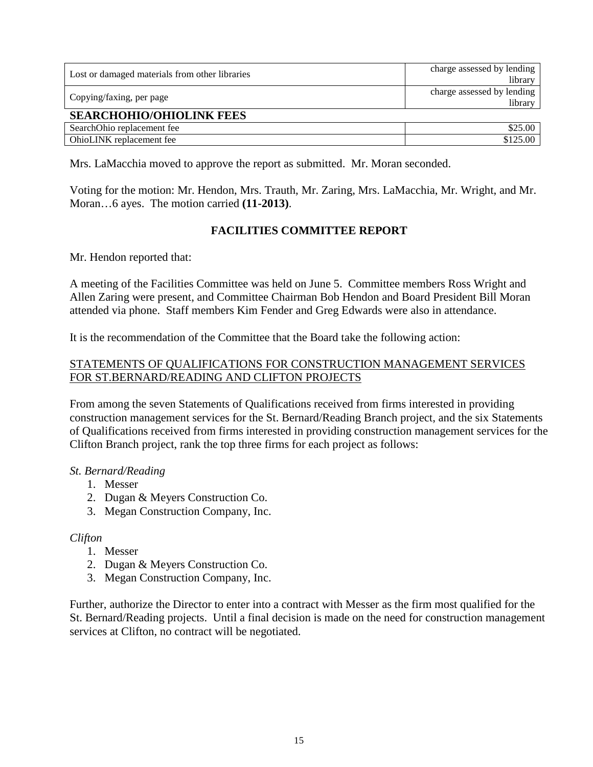| Lost or damaged materials from other libraries | charge assessed by lending<br>library |
|------------------------------------------------|---------------------------------------|
| Copying/faxing, per page                       | charge assessed by lending<br>library |
| <b>SEARCHOHIO/OHIOLINK FEES</b>                |                                       |
| SearchOhio replacement fee                     | \$25.00                               |
| OhioLINK replacement fee                       | \$125.00                              |

Mrs. LaMacchia moved to approve the report as submitted. Mr. Moran seconded.

Voting for the motion: Mr. Hendon, Mrs. Trauth, Mr. Zaring, Mrs. LaMacchia, Mr. Wright, and Mr. Moran…6 ayes. The motion carried **(11-2013)**.

# **FACILITIES COMMITTEE REPORT**

Mr. Hendon reported that:

A meeting of the Facilities Committee was held on June 5. Committee members Ross Wright and Allen Zaring were present, and Committee Chairman Bob Hendon and Board President Bill Moran attended via phone. Staff members Kim Fender and Greg Edwards were also in attendance.

It is the recommendation of the Committee that the Board take the following action:

## STATEMENTS OF QUALIFICATIONS FOR CONSTRUCTION MANAGEMENT SERVICES FOR ST.BERNARD/READING AND CLIFTON PROJECTS

From among the seven Statements of Qualifications received from firms interested in providing construction management services for the St. Bernard/Reading Branch project, and the six Statements of Qualifications received from firms interested in providing construction management services for the Clifton Branch project, rank the top three firms for each project as follows:

#### *St. Bernard/Reading*

- 1. Messer
- 2. Dugan & Meyers Construction Co.
- 3. Megan Construction Company, Inc.

# *Clifton*

- 1. Messer
- 2. Dugan & Meyers Construction Co.
- 3. Megan Construction Company, Inc.

Further, authorize the Director to enter into a contract with Messer as the firm most qualified for the St. Bernard/Reading projects. Until a final decision is made on the need for construction management services at Clifton, no contract will be negotiated.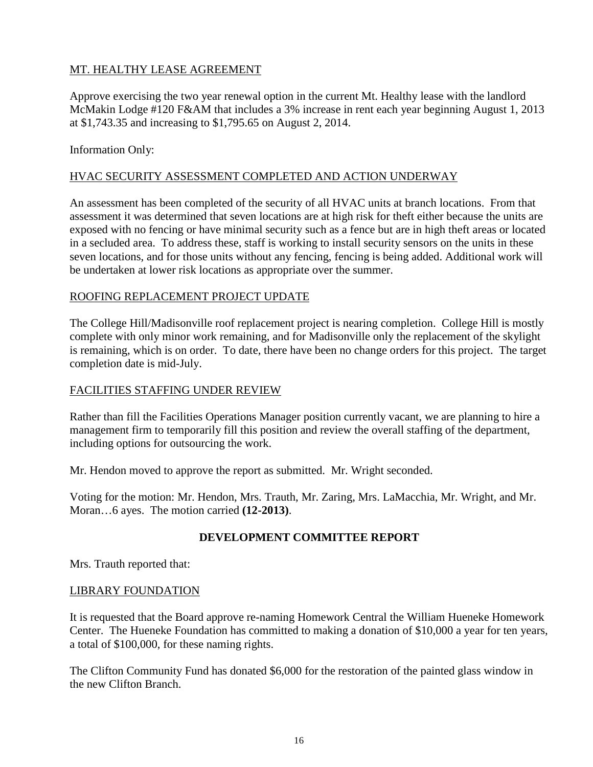# MT. HEALTHY LEASE AGREEMENT

Approve exercising the two year renewal option in the current Mt. Healthy lease with the landlord McMakin Lodge #120 F&AM that includes a 3% increase in rent each year beginning August 1, 2013 at \$1,743.35 and increasing to \$1,795.65 on August 2, 2014.

### Information Only:

## HVAC SECURITY ASSESSMENT COMPLETED AND ACTION UNDERWAY

An assessment has been completed of the security of all HVAC units at branch locations. From that assessment it was determined that seven locations are at high risk for theft either because the units are exposed with no fencing or have minimal security such as a fence but are in high theft areas or located in a secluded area. To address these, staff is working to install security sensors on the units in these seven locations, and for those units without any fencing, fencing is being added. Additional work will be undertaken at lower risk locations as appropriate over the summer.

### ROOFING REPLACEMENT PROJECT UPDATE

The College Hill/Madisonville roof replacement project is nearing completion. College Hill is mostly complete with only minor work remaining, and for Madisonville only the replacement of the skylight is remaining, which is on order. To date, there have been no change orders for this project. The target completion date is mid-July.

### FACILITIES STAFFING UNDER REVIEW

Rather than fill the Facilities Operations Manager position currently vacant, we are planning to hire a management firm to temporarily fill this position and review the overall staffing of the department, including options for outsourcing the work.

Mr. Hendon moved to approve the report as submitted. Mr. Wright seconded.

Voting for the motion: Mr. Hendon, Mrs. Trauth, Mr. Zaring, Mrs. LaMacchia, Mr. Wright, and Mr. Moran…6 ayes. The motion carried **(12-2013)**.

# **DEVELOPMENT COMMITTEE REPORT**

Mrs. Trauth reported that:

#### LIBRARY FOUNDATION

It is requested that the Board approve re-naming Homework Central the William Hueneke Homework Center. The Hueneke Foundation has committed to making a donation of \$10,000 a year for ten years, a total of \$100,000, for these naming rights.

The Clifton Community Fund has donated \$6,000 for the restoration of the painted glass window in the new Clifton Branch.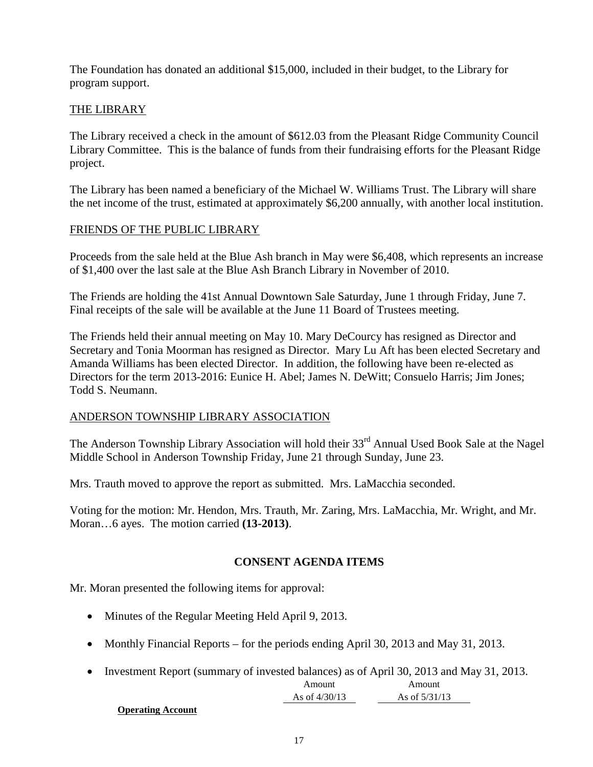The Foundation has donated an additional \$15,000, included in their budget, to the Library for program support.

# THE LIBRARY

The Library received a check in the amount of \$612.03 from the Pleasant Ridge Community Council Library Committee. This is the balance of funds from their fundraising efforts for the Pleasant Ridge project.

The Library has been named a beneficiary of the Michael W. Williams Trust. The Library will share the net income of the trust, estimated at approximately \$6,200 annually, with another local institution.

# FRIENDS OF THE PUBLIC LIBRARY

Proceeds from the sale held at the Blue Ash branch in May were \$6,408, which represents an increase of \$1,400 over the last sale at the Blue Ash Branch Library in November of 2010.

The Friends are holding the 41st Annual Downtown Sale Saturday, June 1 through Friday, June 7. Final receipts of the sale will be available at the June 11 Board of Trustees meeting.

The Friends held their annual meeting on May 10. Mary DeCourcy has resigned as Director and Secretary and Tonia Moorman has resigned as Director. Mary Lu Aft has been elected Secretary and Amanda Williams has been elected Director. In addition, the following have been re-elected as Directors for the term 2013-2016: Eunice H. Abel; James N. DeWitt; Consuelo Harris; Jim Jones; Todd S. Neumann.

# ANDERSON TOWNSHIP LIBRARY ASSOCIATION

The Anderson Township Library Association will hold their 33<sup>rd</sup> Annual Used Book Sale at the Nagel Middle School in Anderson Township Friday, June 21 through Sunday, June 23.

Mrs. Trauth moved to approve the report as submitted. Mrs. LaMacchia seconded.

Voting for the motion: Mr. Hendon, Mrs. Trauth, Mr. Zaring, Mrs. LaMacchia, Mr. Wright, and Mr. Moran…6 ayes. The motion carried **(13-2013)**.

# **CONSENT AGENDA ITEMS**

Mr. Moran presented the following items for approval:

- Minutes of the Regular Meeting Held April 9, 2013.
- Monthly Financial Reports for the periods ending April 30, 2013 and May 31, 2013.
- Investment Report (summary of invested balances) as of April 30, 2013 and May 31, 2013.

| Amount          | Amount          |
|-----------------|-----------------|
| As of $4/30/13$ | As of $5/31/13$ |

#### **Operating Account**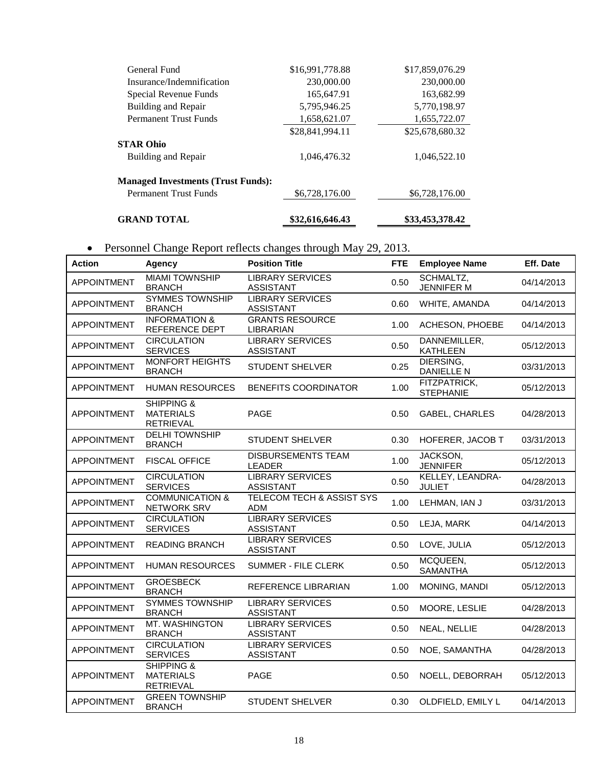| <b>GRAND TOTAL</b>                        | \$32,616,646.43 | \$33,453,378.42 |
|-------------------------------------------|-----------------|-----------------|
| <b>Permanent Trust Funds</b>              | \$6,728,176.00  | \$6,728,176.00  |
| <b>Managed Investments (Trust Funds):</b> |                 |                 |
| Building and Repair                       | 1,046,476.32    | 1,046,522.10    |
| <b>STAR Ohio</b>                          |                 |                 |
|                                           | \$28,841,994.11 | \$25,678,680.32 |
| <b>Permanent Trust Funds</b>              | 1,658,621.07    | 1,655,722.07    |
| Building and Repair                       | 5,795,946.25    | 5,770,198.97    |
| Special Revenue Funds                     | 165,647.91      | 163,682.99      |
| Insurance/Indemnification                 | 230,000.00      | 230,000.00      |
| General Fund                              | \$16,991,778.88 | \$17,859,076.29 |

# • Personnel Change Report reflects changes through May 29, 2013.

| Action             | <b>Agency</b>                                                 | <b>Position Title</b>                              | <b>FTE</b> | <b>Employee Name</b>              | Eff. Date  |
|--------------------|---------------------------------------------------------------|----------------------------------------------------|------------|-----------------------------------|------------|
| <b>APPOINTMENT</b> | <b>MIAMI TOWNSHIP</b><br><b>BRANCH</b>                        | <b>LIBRARY SERVICES</b><br><b>ASSISTANT</b>        | 0.50       | SCHMALTZ,<br><b>JENNIFER M</b>    | 04/14/2013 |
| <b>APPOINTMENT</b> | <b>SYMMES TOWNSHIP</b><br><b>BRANCH</b>                       | <b>LIBRARY SERVICES</b><br><b>ASSISTANT</b>        | 0.60       | WHITE, AMANDA                     | 04/14/2013 |
| <b>APPOINTMENT</b> | <b>INFORMATION &amp;</b><br>REFERENCE DEPT                    | <b>GRANTS RESOURCE</b><br>LIBRARIAN                | 1.00       | ACHESON, PHOEBE                   | 04/14/2013 |
| <b>APPOINTMENT</b> | <b>CIRCULATION</b><br><b>SERVICES</b>                         | <b>LIBRARY SERVICES</b><br><b>ASSISTANT</b>        | 0.50       | DANNEMILLER,<br><b>KATHLEEN</b>   | 05/12/2013 |
| <b>APPOINTMENT</b> | <b>MONFORT HEIGHTS</b><br><b>BRANCH</b>                       | <b>STUDENT SHELVER</b>                             | 0.25       | DIERSING,<br><b>DANIELLE N</b>    | 03/31/2013 |
| <b>APPOINTMENT</b> | <b>HUMAN RESOURCES</b>                                        | BENEFITS COORDINATOR                               | 1.00       | FITZPATRICK,<br><b>STEPHANIE</b>  | 05/12/2013 |
| <b>APPOINTMENT</b> | SHIPPING &<br><b>MATERIALS</b><br><b>RETRIEVAL</b>            | <b>PAGE</b>                                        | 0.50       | <b>GABEL, CHARLES</b>             | 04/28/2013 |
| <b>APPOINTMENT</b> | <b>DELHI TOWNSHIP</b><br><b>BRANCH</b>                        | <b>STUDENT SHELVER</b>                             | 0.30       | HOFERER, JACOB T                  | 03/31/2013 |
| <b>APPOINTMENT</b> | <b>FISCAL OFFICE</b>                                          | <b>DISBURSEMENTS TEAM</b><br><b>LEADER</b>         | 1.00       | JACKSON,<br><b>JENNIFER</b>       | 05/12/2013 |
| <b>APPOINTMENT</b> | <b>CIRCULATION</b><br><b>SERVICES</b>                         | <b>LIBRARY SERVICES</b><br><b>ASSISTANT</b>        | 0.50       | KELLEY, LEANDRA-<br><b>JULIET</b> | 04/28/2013 |
| <b>APPOINTMENT</b> | <b>COMMUNICATION &amp;</b><br>NETWORK SRV                     | <b>TELECOM TECH &amp; ASSIST SYS</b><br><b>ADM</b> | 1.00       | LEHMAN, IAN J                     | 03/31/2013 |
| <b>APPOINTMENT</b> | <b>CIRCULATION</b><br><b>SERVICES</b>                         | <b>LIBRARY SERVICES</b><br><b>ASSISTANT</b>        | 0.50       | LEJA, MARK                        | 04/14/2013 |
| <b>APPOINTMENT</b> | <b>READING BRANCH</b>                                         | <b>LIBRARY SERVICES</b><br><b>ASSISTANT</b>        | 0.50       | LOVE, JULIA                       | 05/12/2013 |
| <b>APPOINTMENT</b> | <b>HUMAN RESOURCES</b>                                        | <b>SUMMER - FILE CLERK</b>                         | 0.50       | MCQUEEN,<br><b>SAMANTHA</b>       | 05/12/2013 |
| <b>APPOINTMENT</b> | <b>GROESBECK</b><br><b>BRANCH</b>                             | REFERENCE LIBRARIAN                                | 1.00       | MONING, MANDI                     | 05/12/2013 |
| <b>APPOINTMENT</b> | <b>SYMMES TOWNSHIP</b><br><b>BRANCH</b>                       | <b>LIBRARY SERVICES</b><br><b>ASSISTANT</b>        | 0.50       | MOORE, LESLIE                     | 04/28/2013 |
| <b>APPOINTMENT</b> | MT. WASHINGTON<br><b>BRANCH</b>                               | <b>LIBRARY SERVICES</b><br><b>ASSISTANT</b>        | 0.50       | NEAL, NELLIE                      | 04/28/2013 |
| <b>APPOINTMENT</b> | <b>CIRCULATION</b><br><b>SERVICES</b>                         | <b>LIBRARY SERVICES</b><br><b>ASSISTANT</b>        | 0.50       | NOE, SAMANTHA                     | 04/28/2013 |
| <b>APPOINTMENT</b> | <b>SHIPPING &amp;</b><br><b>MATERIALS</b><br><b>RETRIEVAL</b> | <b>PAGE</b>                                        | 0.50       | NOELL, DEBORRAH                   | 05/12/2013 |
| <b>APPOINTMENT</b> | <b>GREEN TOWNSHIP</b><br><b>BRANCH</b>                        | <b>STUDENT SHELVER</b>                             | 0.30       | OLDFIELD, EMILY L                 | 04/14/2013 |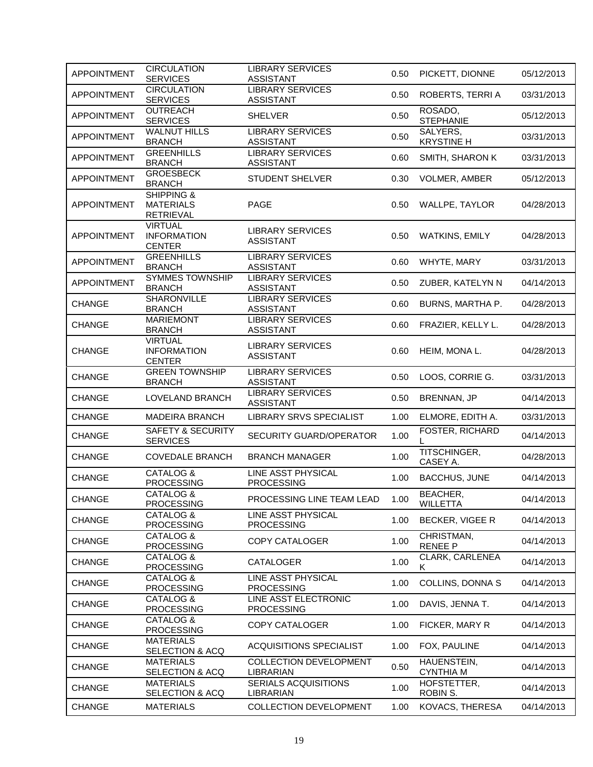| <b>APPOINTMENT</b> | <b>CIRCULATION</b><br><b>SERVICES</b>                         | <b>LIBRARY SERVICES</b><br><b>ASSISTANT</b> | 0.50 | PICKETT, DIONNE                 | 05/12/2013 |
|--------------------|---------------------------------------------------------------|---------------------------------------------|------|---------------------------------|------------|
| <b>APPOINTMENT</b> | <b>CIRCULATION</b><br><b>SERVICES</b>                         | <b>LIBRARY SERVICES</b><br><b>ASSISTANT</b> | 0.50 | ROBERTS, TERRI A                | 03/31/2013 |
| <b>APPOINTMENT</b> | <b>OUTREACH</b><br><b>SERVICES</b>                            | <b>SHELVER</b>                              | 0.50 | ROSADO,<br><b>STEPHANIE</b>     | 05/12/2013 |
| <b>APPOINTMENT</b> | <b>WALNUT HILLS</b><br><b>BRANCH</b>                          | <b>LIBRARY SERVICES</b><br><b>ASSISTANT</b> | 0.50 | SALYERS,<br><b>KRYSTINE H</b>   | 03/31/2013 |
| <b>APPOINTMENT</b> | <b>GREENHILLS</b><br><b>BRANCH</b>                            | <b>LIBRARY SERVICES</b><br><b>ASSISTANT</b> | 0.60 | SMITH, SHARON K                 | 03/31/2013 |
| <b>APPOINTMENT</b> | <b>GROESBECK</b><br><b>BRANCH</b>                             | <b>STUDENT SHELVER</b>                      | 0.30 | VOLMER, AMBER                   | 05/12/2013 |
| <b>APPOINTMENT</b> | <b>SHIPPING &amp;</b><br><b>MATERIALS</b><br><b>RETRIEVAL</b> | <b>PAGE</b>                                 | 0.50 | WALLPE, TAYLOR                  | 04/28/2013 |
| <b>APPOINTMENT</b> | <b>VIRTUAL</b><br><b>INFORMATION</b><br><b>CENTER</b>         | <b>LIBRARY SERVICES</b><br><b>ASSISTANT</b> | 0.50 | <b>WATKINS, EMILY</b>           | 04/28/2013 |
| <b>APPOINTMENT</b> | <b>GREENHILLS</b><br><b>BRANCH</b>                            | <b>LIBRARY SERVICES</b><br><b>ASSISTANT</b> | 0.60 | WHYTE, MARY                     | 03/31/2013 |
| <b>APPOINTMENT</b> | <b>SYMMES TOWNSHIP</b><br><b>BRANCH</b>                       | <b>LIBRARY SERVICES</b><br><b>ASSISTANT</b> | 0.50 | ZUBER, KATELYN N                | 04/14/2013 |
| <b>CHANGE</b>      | <b>SHARONVILLE</b><br><b>BRANCH</b>                           | <b>LIBRARY SERVICES</b><br><b>ASSISTANT</b> | 0.60 | BURNS, MARTHA P.                | 04/28/2013 |
| <b>CHANGE</b>      | <b>MARIEMONT</b><br><b>BRANCH</b>                             | <b>LIBRARY SERVICES</b><br><b>ASSISTANT</b> | 0.60 | FRAZIER, KELLY L.               | 04/28/2013 |
| <b>CHANGE</b>      | <b>VIRTUAL</b><br><b>INFORMATION</b><br><b>CENTER</b>         | <b>LIBRARY SERVICES</b><br><b>ASSISTANT</b> | 0.60 | HEIM, MONA L.                   | 04/28/2013 |
| <b>CHANGE</b>      | <b>GREEN TOWNSHIP</b><br><b>BRANCH</b>                        | <b>LIBRARY SERVICES</b><br><b>ASSISTANT</b> | 0.50 | LOOS, CORRIE G.                 | 03/31/2013 |
|                    |                                                               |                                             |      |                                 |            |
| <b>CHANGE</b>      | LOVELAND BRANCH                                               | <b>LIBRARY SERVICES</b><br><b>ASSISTANT</b> | 0.50 | BRENNAN, JP                     | 04/14/2013 |
| <b>CHANGE</b>      | <b>MADEIRA BRANCH</b>                                         | <b>LIBRARY SRVS SPECIALIST</b>              | 1.00 | ELMORE, EDITH A.                | 03/31/2013 |
| <b>CHANGE</b>      | <b>SAFETY &amp; SECURITY</b><br><b>SERVICES</b>               | SECURITY GUARD/OPERATOR                     | 1.00 | FOSTER, RICHARD                 | 04/14/2013 |
| <b>CHANGE</b>      | <b>COVEDALE BRANCH</b>                                        | <b>BRANCH MANAGER</b>                       | 1.00 | TITSCHINGER,<br>CASEY A.        | 04/28/2013 |
| <b>CHANGE</b>      | CATALOG &<br><b>PROCESSING</b>                                | LINE ASST PHYSICAL<br><b>PROCESSING</b>     | 1.00 | <b>BACCHUS, JUNE</b>            | 04/14/2013 |
| CHANGE             | CATALOG &<br><b>PROCESSING</b>                                | PROCESSING LINE TEAM LEAD                   | 1.00 | BEACHER,<br><b>WILLETTA</b>     | 04/14/2013 |
| <b>CHANGE</b>      | CATALOG &<br><b>PROCESSING</b>                                | LINE ASST PHYSICAL<br><b>PROCESSING</b>     | 1.00 | BECKER, VIGEE R                 | 04/14/2013 |
| <b>CHANGE</b>      | CATALOG &<br><b>PROCESSING</b>                                | <b>COPY CATALOGER</b>                       | 1.00 | CHRISTMAN,<br><b>RENEE P</b>    | 04/14/2013 |
| <b>CHANGE</b>      | CATALOG &<br><b>PROCESSING</b>                                | <b>CATALOGER</b>                            | 1.00 | CLARK, CARLENEA<br>K.           | 04/14/2013 |
| <b>CHANGE</b>      | CATALOG &<br><b>PROCESSING</b>                                | LINE ASST PHYSICAL<br><b>PROCESSING</b>     | 1.00 | COLLINS, DONNA S                | 04/14/2013 |
| <b>CHANGE</b>      | CATALOG &<br><b>PROCESSING</b>                                | LINE ASST ELECTRONIC<br><b>PROCESSING</b>   | 1.00 | DAVIS, JENNA T.                 | 04/14/2013 |
| <b>CHANGE</b>      | CATALOG &<br><b>PROCESSING</b>                                | <b>COPY CATALOGER</b>                       | 1.00 | FICKER, MARY R                  | 04/14/2013 |
| <b>CHANGE</b>      | <b>MATERIALS</b><br>SELECTION & ACQ                           | <b>ACQUISITIONS SPECIALIST</b>              | 1.00 | FOX, PAULINE                    | 04/14/2013 |
| <b>CHANGE</b>      | <b>MATERIALS</b>                                              | <b>COLLECTION DEVELOPMENT</b><br>LIBRARIAN  | 0.50 | HAUENSTEIN,<br><b>CYNTHIA M</b> | 04/14/2013 |
| <b>CHANGE</b>      | SELECTION & ACQ<br><b>MATERIALS</b><br>SELECTION & ACQ        | SERIALS ACQUISITIONS<br>LIBRARIAN           | 1.00 | HOFSTETTER,<br>ROBIN S.         | 04/14/2013 |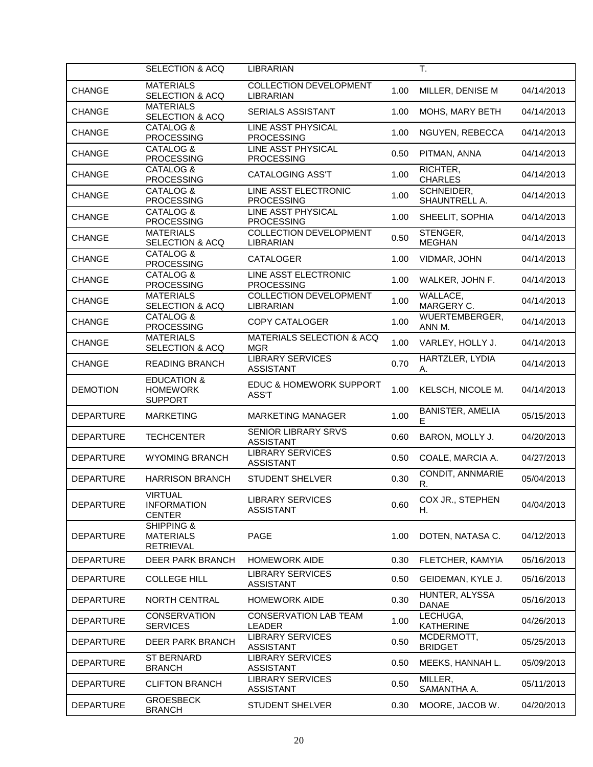|                  | <b>SELECTION &amp; ACQ</b>                                  | <b>LIBRARIAN</b>                                   |      | T.                             |            |
|------------------|-------------------------------------------------------------|----------------------------------------------------|------|--------------------------------|------------|
| <b>CHANGE</b>    | <b>MATERIALS</b><br>SELECTION & ACQ                         | <b>COLLECTION DEVELOPMENT</b><br>LIBRARIAN         | 1.00 | MILLER, DENISE M               | 04/14/2013 |
| <b>CHANGE</b>    | <b>MATERIALS</b><br>SELECTION & ACQ                         | SERIALS ASSISTANT                                  | 1.00 | MOHS, MARY BETH                | 04/14/2013 |
| <b>CHANGE</b>    | CATALOG &<br><b>PROCESSING</b>                              | LINE ASST PHYSICAL<br><b>PROCESSING</b>            | 1.00 | NGUYEN, REBECCA                | 04/14/2013 |
| <b>CHANGE</b>    | CATALOG &<br><b>PROCESSING</b>                              | LINE ASST PHYSICAL<br><b>PROCESSING</b>            | 0.50 | PITMAN, ANNA                   | 04/14/2013 |
| <b>CHANGE</b>    | CATALOG &<br><b>PROCESSING</b>                              | <b>CATALOGING ASS'T</b>                            | 1.00 | RICHTER,<br><b>CHARLES</b>     | 04/14/2013 |
| CHANGE           | CATALOG &<br><b>PROCESSING</b>                              | LINE ASST ELECTRONIC<br><b>PROCESSING</b>          | 1.00 | SCHNEIDER,<br>SHAUNTRELL A.    | 04/14/2013 |
| <b>CHANGE</b>    | CATALOG &<br><b>PROCESSING</b>                              | LINE ASST PHYSICAL<br><b>PROCESSING</b>            | 1.00 | SHEELIT, SOPHIA                | 04/14/2013 |
| <b>CHANGE</b>    | <b>MATERIALS</b><br>SELECTION & ACQ                         | <b>COLLECTION DEVELOPMENT</b><br>LIBRARIAN         | 0.50 | STENGER,<br><b>MEGHAN</b>      | 04/14/2013 |
| <b>CHANGE</b>    | CATALOG &<br><b>PROCESSING</b>                              | <b>CATALOGER</b>                                   | 1.00 | VIDMAR, JOHN                   | 04/14/2013 |
| <b>CHANGE</b>    | CATALOG &<br><b>PROCESSING</b>                              | LINE ASST ELECTRONIC<br><b>PROCESSING</b>          | 1.00 | WALKER, JOHN F.                | 04/14/2013 |
| <b>CHANGE</b>    | <b>MATERIALS</b><br><b>SELECTION &amp; ACQ</b>              | <b>COLLECTION DEVELOPMENT</b><br>LIBRARIAN         | 1.00 | WALLACE,<br>MARGERY C.         | 04/14/2013 |
| <b>CHANGE</b>    | CATALOG &<br><b>PROCESSING</b>                              | <b>COPY CATALOGER</b>                              | 1.00 | WUERTEMBERGER,<br>ANN M.       | 04/14/2013 |
| <b>CHANGE</b>    | <b>MATERIALS</b><br>SELECTION & ACQ                         | <b>MATERIALS SELECTION &amp; ACQ</b><br><b>MGR</b> | 1.00 | VARLEY, HOLLY J.               | 04/14/2013 |
| <b>CHANGE</b>    | <b>READING BRANCH</b>                                       | <b>LIBRARY SERVICES</b><br><b>ASSISTANT</b>        | 0.70 | HARTZLER, LYDIA<br>А.          | 04/14/2013 |
| <b>DEMOTION</b>  | <b>EDUCATION &amp;</b><br><b>HOMEWORK</b><br><b>SUPPORT</b> | EDUC & HOMEWORK SUPPORT<br>ASS'T                   | 1.00 | KELSCH, NICOLE M.              | 04/14/2013 |
| <b>DEPARTURE</b> | <b>MARKETING</b>                                            | <b>MARKETING MANAGER</b>                           | 1.00 | <b>BANISTER, AMELIA</b><br>Е   | 05/15/2013 |
| <b>DEPARTURE</b> | <b>TECHCENTER</b>                                           | SENIOR LIBRARY SRVS<br><b>ASSISTANT</b>            | 0.60 | BARON, MOLLY J.                | 04/20/2013 |
| <b>DEPARTURE</b> | <b>WYOMING BRANCH</b>                                       | <b>LIBRARY SERVICES</b><br><b>ASSISTANT</b>        | 0.50 | COALE, MARCIA A.               | 04/27/2013 |
| <b>DEPARTURE</b> | <b>HARRISON BRANCH</b>                                      | <b>STUDENT SHELVER</b>                             | 0.30 | CONDIT, ANNMARIE<br>R.         | 05/04/2013 |
| <b>DEPARTURE</b> | <b>VIRTUAL</b><br><b>INFORMATION</b><br><b>CENTER</b>       | <b>LIBRARY SERVICES</b><br><b>ASSISTANT</b>        | 0.60 | COX JR., STEPHEN<br>Н.         | 04/04/2013 |
| <b>DEPARTURE</b> | SHIPPING &<br><b>MATERIALS</b><br><b>RETRIEVAL</b>          | <b>PAGE</b>                                        | 1.00 | DOTEN, NATASA C.               | 04/12/2013 |
| <b>DEPARTURE</b> | <b>DEER PARK BRANCH</b>                                     | <b>HOMEWORK AIDE</b>                               | 0.30 | FLETCHER, KAMYIA               | 05/16/2013 |
| <b>DEPARTURE</b> | <b>COLLEGE HILL</b>                                         | <b>LIBRARY SERVICES</b><br><b>ASSISTANT</b>        | 0.50 | GEIDEMAN, KYLE J.              | 05/16/2013 |
| <b>DEPARTURE</b> | <b>NORTH CENTRAL</b>                                        | <b>HOMEWORK AIDE</b>                               | 0.30 | HUNTER, ALYSSA<br><b>DANAE</b> | 05/16/2013 |
| <b>DEPARTURE</b> | <b>CONSERVATION</b><br><b>SERVICES</b>                      | <b>CONSERVATION LAB TEAM</b><br><b>LEADER</b>      | 1.00 | LECHUGA,<br><b>KATHERINE</b>   | 04/26/2013 |
| <b>DEPARTURE</b> | <b>DEER PARK BRANCH</b>                                     | <b>LIBRARY SERVICES</b><br><b>ASSISTANT</b>        | 0.50 | MCDERMOTT,<br><b>BRIDGET</b>   | 05/25/2013 |
| <b>DEPARTURE</b> | <b>ST BERNARD</b><br><b>BRANCH</b>                          | <b>LIBRARY SERVICES</b><br><b>ASSISTANT</b>        | 0.50 | MEEKS, HANNAH L.               | 05/09/2013 |
| <b>DEPARTURE</b> | <b>CLIFTON BRANCH</b>                                       | <b>LIBRARY SERVICES</b><br><b>ASSISTANT</b>        | 0.50 | MILLER,<br>SAMANTHA A.         | 05/11/2013 |
| <b>DEPARTURE</b> | <b>GROESBECK</b><br><b>BRANCH</b>                           | <b>STUDENT SHELVER</b>                             | 0.30 | MOORE, JACOB W.                | 04/20/2013 |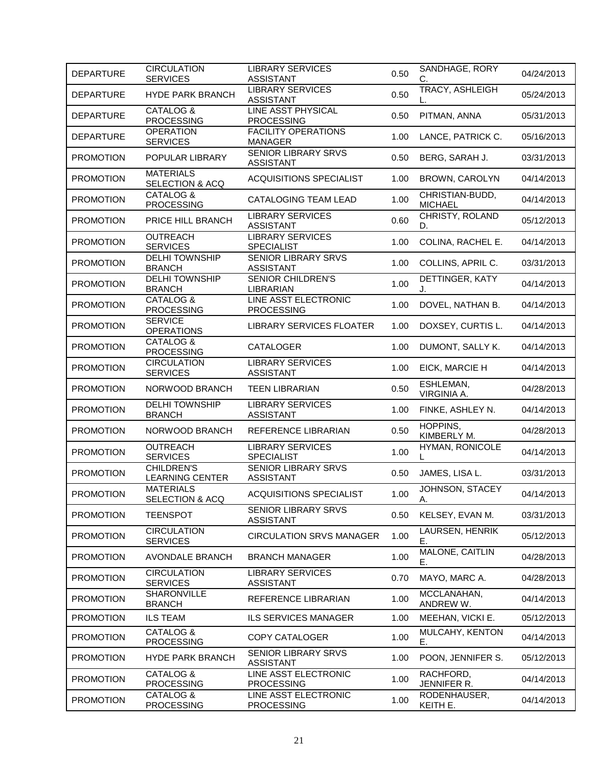| <b>DEPARTURE</b> | <b>CIRCULATION</b><br><b>SERVICES</b>  | <b>LIBRARY SERVICES</b><br><b>ASSISTANT</b>    | 0.50 | SANDHAGE, RORY<br>C.              | 04/24/2013 |
|------------------|----------------------------------------|------------------------------------------------|------|-----------------------------------|------------|
| <b>DEPARTURE</b> | <b>HYDE PARK BRANCH</b>                | <b>LIBRARY SERVICES</b><br><b>ASSISTANT</b>    | 0.50 | TRACY, ASHLEIGH                   | 05/24/2013 |
| <b>DEPARTURE</b> | CATALOG &<br><b>PROCESSING</b>         | LINE ASST PHYSICAL<br><b>PROCESSING</b>        | 0.50 | PITMAN, ANNA                      | 05/31/2013 |
| <b>DEPARTURE</b> | <b>OPERATION</b><br><b>SERVICES</b>    | <b>FACILITY OPERATIONS</b><br>MANAGER          | 1.00 | LANCE, PATRICK C.                 | 05/16/2013 |
| <b>PROMOTION</b> | POPULAR LIBRARY                        | <b>SENIOR LIBRARY SRVS</b><br><b>ASSISTANT</b> | 0.50 | BERG, SARAH J.                    | 03/31/2013 |
| <b>PROMOTION</b> | <b>MATERIALS</b><br>SELECTION & ACQ    | <b>ACQUISITIONS SPECIALIST</b>                 | 1.00 | BROWN, CAROLYN                    | 04/14/2013 |
| <b>PROMOTION</b> | CATALOG &<br><b>PROCESSING</b>         | CATALOGING TEAM LEAD                           | 1.00 | CHRISTIAN-BUDD,<br><b>MICHAEL</b> | 04/14/2013 |
| <b>PROMOTION</b> | PRICE HILL BRANCH                      | <b>LIBRARY SERVICES</b><br><b>ASSISTANT</b>    | 0.60 | CHRISTY, ROLAND<br>D.             | 05/12/2013 |
| <b>PROMOTION</b> | <b>OUTREACH</b><br><b>SERVICES</b>     | <b>LIBRARY SERVICES</b><br><b>SPECIALIST</b>   | 1.00 | COLINA, RACHEL E.                 | 04/14/2013 |
| <b>PROMOTION</b> | <b>DELHI TOWNSHIP</b><br><b>BRANCH</b> | <b>SENIOR LIBRARY SRVS</b><br><b>ASSISTANT</b> | 1.00 | COLLINS, APRIL C.                 | 03/31/2013 |
| <b>PROMOTION</b> | <b>DELHI TOWNSHIP</b><br><b>BRANCH</b> | <b>SENIOR CHILDREN'S</b><br>LIBRARIAN          | 1.00 | DETTINGER, KATY<br>J.             | 04/14/2013 |
| <b>PROMOTION</b> | CATALOG &<br><b>PROCESSING</b>         | LINE ASST ELECTRONIC<br><b>PROCESSING</b>      | 1.00 | DOVEL, NATHAN B.                  | 04/14/2013 |
| <b>PROMOTION</b> | <b>SERVICE</b><br><b>OPERATIONS</b>    | <b>LIBRARY SERVICES FLOATER</b>                | 1.00 | DOXSEY, CURTIS L.                 | 04/14/2013 |
| <b>PROMOTION</b> | CATALOG &<br><b>PROCESSING</b>         | <b>CATALOGER</b>                               | 1.00 | DUMONT, SALLY K.                  | 04/14/2013 |
| <b>PROMOTION</b> | <b>CIRCULATION</b><br><b>SERVICES</b>  | <b>LIBRARY SERVICES</b><br><b>ASSISTANT</b>    | 1.00 | EICK, MARCIE H                    | 04/14/2013 |
| <b>PROMOTION</b> | NORWOOD BRANCH                         | <b>TEEN LIBRARIAN</b>                          | 0.50 | ESHLEMAN,<br>VIRGINIA A.          | 04/28/2013 |
| <b>PROMOTION</b> | <b>DELHI TOWNSHIP</b><br><b>BRANCH</b> | <b>LIBRARY SERVICES</b><br><b>ASSISTANT</b>    | 1.00 | FINKE, ASHLEY N.                  | 04/14/2013 |
| <b>PROMOTION</b> | NORWOOD BRANCH                         | REFERENCE LIBRARIAN                            | 0.50 | HOPPINS,<br>KIMBERLY M.           | 04/28/2013 |
| <b>PROMOTION</b> | <b>OUTREACH</b><br><b>SERVICES</b>     | <b>LIBRARY SERVICES</b><br><b>SPECIALIST</b>   | 1.00 | <b>HYMAN, RONICOLE</b>            | 04/14/2013 |
| <b>PROMOTION</b> | CHILDREN'S<br><b>LEARNING CENTER</b>   | SENIOR LIBRARY SRVS<br><b>ASSISTANT</b>        | 0.50 | JAMES, LISA L.                    | 03/31/2013 |
| <b>PROMOTION</b> | <b>MATERIALS</b><br>SELECTION & ACQ    | ACQUISITIONS SPECIALIST                        | 1.00 | JOHNSON, STACEY<br>А.             | 04/14/2013 |
| <b>PROMOTION</b> | <b>TEENSPOT</b>                        | <b>SENIOR LIBRARY SRVS</b><br><b>ASSISTANT</b> | 0.50 | KELSEY, EVAN M.                   | 03/31/2013 |
| <b>PROMOTION</b> | <b>CIRCULATION</b><br><b>SERVICES</b>  | <b>CIRCULATION SRVS MANAGER</b>                | 1.00 | LAURSEN, HENRIK<br>Ε.             | 05/12/2013 |
| <b>PROMOTION</b> | AVONDALE BRANCH                        | <b>BRANCH MANAGER</b>                          | 1.00 | MALONE, CAITLIN<br>Е.             | 04/28/2013 |
| <b>PROMOTION</b> | <b>CIRCULATION</b><br><b>SERVICES</b>  | <b>LIBRARY SERVICES</b><br><b>ASSISTANT</b>    | 0.70 | MAYO, MARC A.                     | 04/28/2013 |
| <b>PROMOTION</b> | SHARONVILLE<br><b>BRANCH</b>           | REFERENCE LIBRARIAN                            | 1.00 | MCCLANAHAN,<br>ANDREW W.          | 04/14/2013 |
| <b>PROMOTION</b> | <b>ILS TEAM</b>                        | <b>ILS SERVICES MANAGER</b>                    | 1.00 | MEEHAN, VICKI E.                  | 05/12/2013 |
| <b>PROMOTION</b> | CATALOG &<br><b>PROCESSING</b>         | <b>COPY CATALOGER</b>                          | 1.00 | MULCAHY, KENTON<br>Е.             | 04/14/2013 |
| <b>PROMOTION</b> | <b>HYDE PARK BRANCH</b>                | <b>SENIOR LIBRARY SRVS</b><br><b>ASSISTANT</b> | 1.00 | POON, JENNIFER S.                 | 05/12/2013 |
| <b>PROMOTION</b> | CATALOG &<br><b>PROCESSING</b>         | LINE ASST ELECTRONIC<br>PROCESSING             | 1.00 | RACHFORD,<br>JENNIFER R.          | 04/14/2013 |
| <b>PROMOTION</b> | CATALOG &<br><b>PROCESSING</b>         | LINE ASST ELECTRONIC<br>PROCESSING             | 1.00 | RODENHAUSER,<br>KEITH E.          | 04/14/2013 |